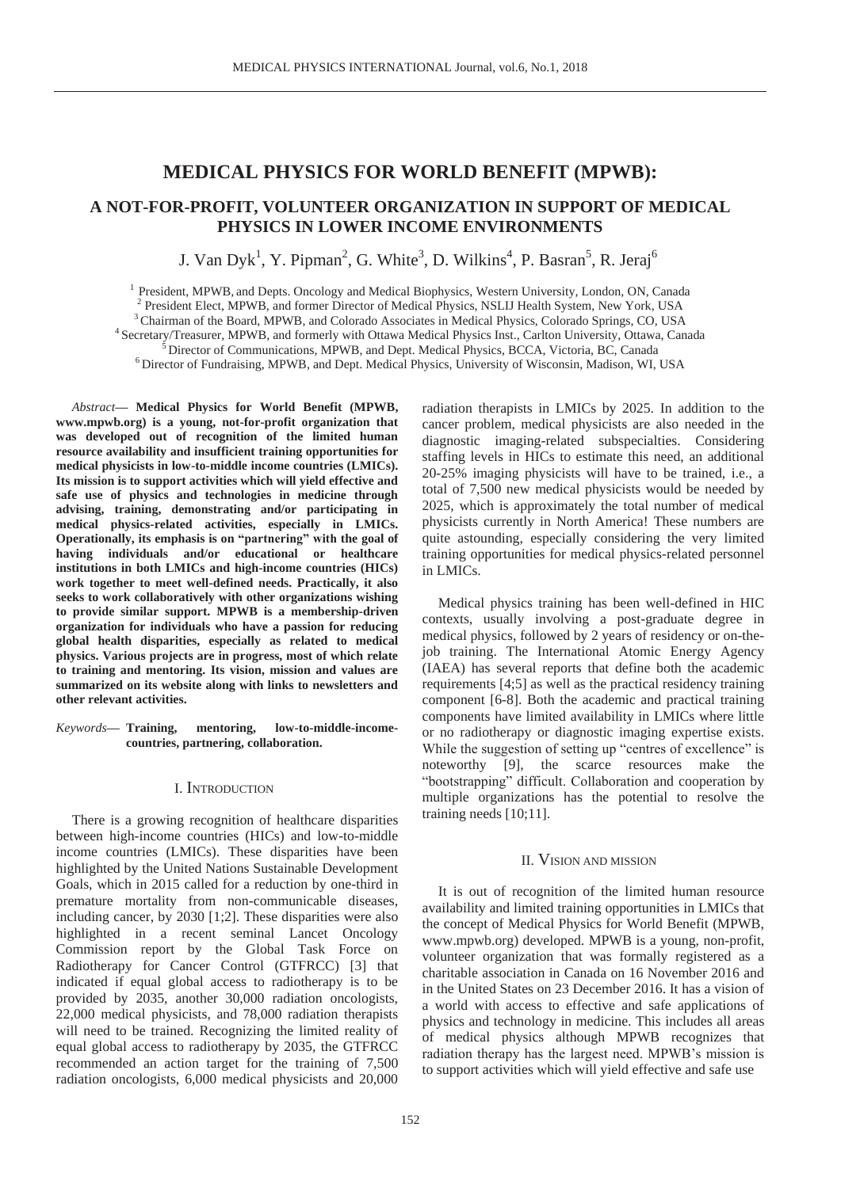# **MEDICAL PHYSICS FOR WORLD BENEFIT (MPWB):**

## **A NOT-FOR-PROFIT, VOLUNTEER ORGANIZATION IN SUPPORT OF MEDICAL PHYSICS IN LOWER INCOME ENVIRONMENTS**

J. Van Dyk<sup>1</sup>, Y. Pipman<sup>2</sup>, G. White<sup>3</sup>, D. Wilkins<sup>4</sup>, P. Basran<sup>5</sup>, R. Jeraj<sup>6</sup>

<sup>1</sup> President, MPWB, and Depts. Oncology and Medical Biophysics, Western University, London, ON, Canada <sup>2</sup> President Elect. MPWB, and former Director of Medical Physics, NSLIJ Health System, New York, USA <sup>3</sup> Chairman of the Board, MPWB, and Colorado Associates in Medical Physics, Colorado Springs, CO, USA  $4$  Secretary/Treasurer, MPWB, and formerly with Ottawa Medical Physics Inst., Carlton University, Ottawa, Canada  $5$ 

*Abstract***— Medical Physics for World Benefit (MPWB, www.mpwb.org) is a young, not-for-profit organization that was developed out of recognition of the limited human resource availability and insufficient training opportunities for medical physicists in low-to-middle income countries (LMICs). Its mission is to support activities which will yield effective and safe use of physics and technologies in medicine through advising, training, demonstrating and/or participating in medical physics-related activities, especially in LMICs. Operationally, its emphasis is on "partnering" with the goal of having individuals and/or educational or healthcare institutions in both LMICs and high-income countries (HICs) work together to meet well-defined needs. Practically, it also seeks to work collaboratively with other organizations wishing to provide similar support. MPWB is a membership-driven organization for individuals who have a passion for reducing global health disparities, especially as related to medical physics. Various projects are in progress, most of which relate to training and mentoring. Its vision, mission and values are summarized on its website along with links to newsletters and other relevant activities.** 

*Keywords***— Training, mentoring, low-to-middle-incomecountries, partnering, collaboration.** 

#### I. INTRODUCTION

There is a growing recognition of healthcare disparities between high-income countries (HICs) and low-to-middle income countries (LMICs). These disparities have been highlighted by the United Nations Sustainable Development Goals, which in 2015 called for a reduction by one-third in premature mortality from non-communicable diseases, including cancer, by 2030 [1;2]. These disparities were also highlighted in a recent seminal Lancet Oncology Commission report by the Global Task Force on Radiotherapy for Cancer Control (GTFRCC) [3] that indicated if equal global access to radiotherapy is to be provided by 2035, another 30,000 radiation oncologists, 22,000 medical physicists, and 78,000 radiation therapists will need to be trained. Recognizing the limited reality of equal global access to radiotherapy by 2035, the GTFRCC recommended an action target for the training of 7,500 radiation oncologists, 6,000 medical physicists and 20,000

radiation therapists in LMICs by 2025. In addition to the cancer problem, medical physicists are also needed in the diagnostic imaging-related subspecialties. Considering staffing levels in HICs to estimate this need, an additional 20-25% imaging physicists will have to be trained, i.e., a total of 7,500 new medical physicists would be needed by 2025, which is approximately the total number of medical physicists currently in North America! These numbers are quite astounding, especially considering the very limited training opportunities for medical physics-related personnel in LMICs.

Medical physics training has been well-defined in HIC contexts, usually involving a post-graduate degree in medical physics, followed by 2 years of residency or on-thejob training. The International Atomic Energy Agency (IAEA) has several reports that define both the academic requirements [4;5] as well as the practical residency training component [6-8]. Both the academic and practical training components have limited availability in LMICs where little or no radiotherapy or diagnostic imaging expertise exists. While the suggestion of setting up "centres of excellence" is noteworthy [9], the scarce resources make the "bootstrapping" difficult. Collaboration and cooperation by multiple organizations has the potential to resolve the training needs [10;11].

#### II. VISION AND MISSION

It is out of recognition of the limited human resource availability and limited training opportunities in LMICs that the concept of Medical Physics for World Benefit (MPWB, www.mpwb.org) developed. MPWB is a young, non-profit, volunteer organization that was formally registered as a charitable association in Canada on 16 November 2016 and in the United States on 23 December 2016. It has a vision of a world with access to effective and safe applications of physics and technology in medicine. This includes all areas of medical physics although MPWB recognizes that radiation therapy has the largest need. MPWB's mission is to support activities which will yield effective and safe use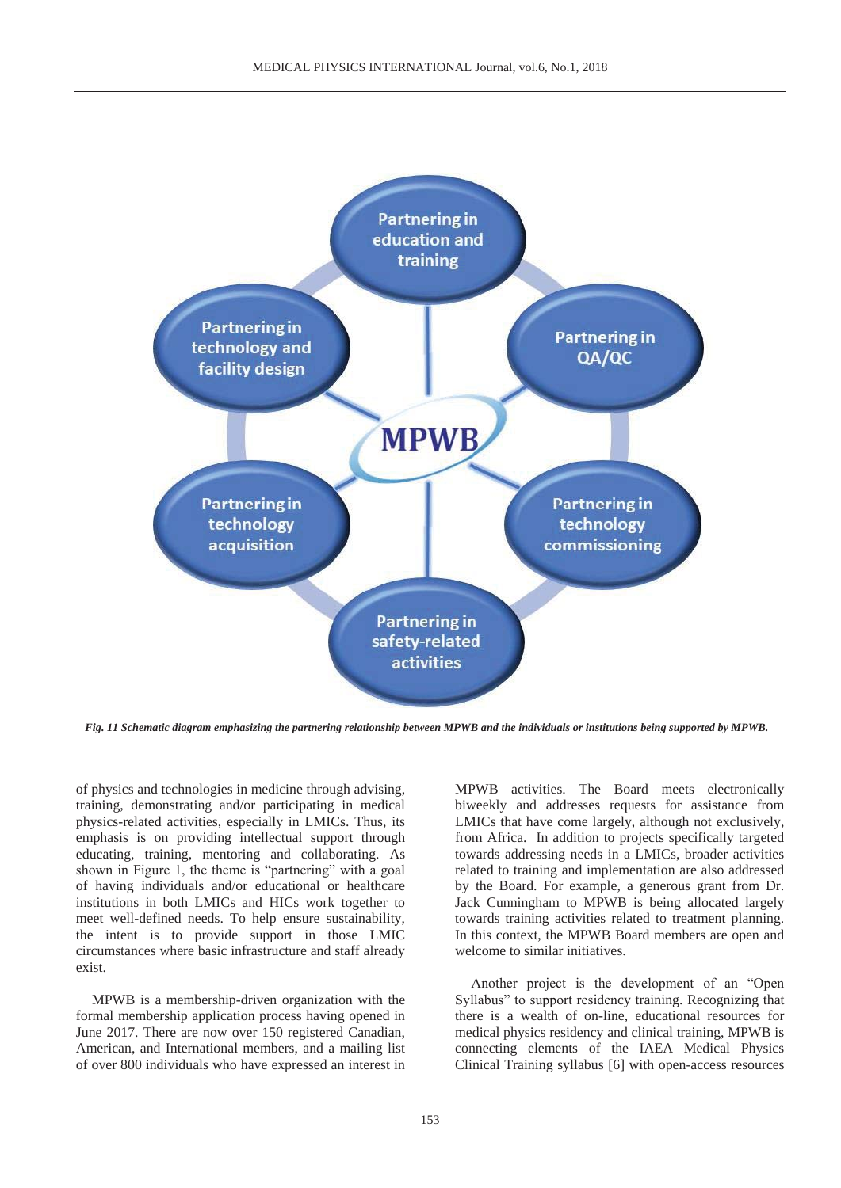

*Fig. 11 Schematic diagram emphasizing the partnering relationship between MPWB and the individuals or institutions being supported by MPWB.* 

of physics and technologies in medicine through advising, training, demonstrating and/or participating in medical physics-related activities, especially in LMICs. Thus, its emphasis is on providing intellectual support through educating, training, mentoring and collaborating. As shown in Figure 1, the theme is "partnering" with a goal of having individuals and/or educational or healthcare institutions in both LMICs and HICs work together to meet well-defined needs. To help ensure sustainability, the intent is to provide support in those LMIC circumstances where basic infrastructure and staff already exist.

MPWB is a membership-driven organization with the formal membership application process having opened in June 2017. There are now over 150 registered Canadian, American, and International members, and a mailing list of over 800 individuals who have expressed an interest in

MPWB activities. The Board meets electronically biweekly and addresses requests for assistance from LMICs that have come largely, although not exclusively, from Africa. In addition to projects specifically targeted towards addressing needs in a LMICs, broader activities related to training and implementation are also addressed by the Board. For example, a generous grant from Dr. Jack Cunningham to MPWB is being allocated largely towards training activities related to treatment planning. In this context, the MPWB Board members are open and welcome to similar initiatives.

Another project is the development of an "Open Syllabus" to support residency training. Recognizing that there is a wealth of on-line, educational resources for medical physics residency and clinical training, MPWB is connecting elements of the IAEA Medical Physics Clinical Training syllabus [6] with open-access resources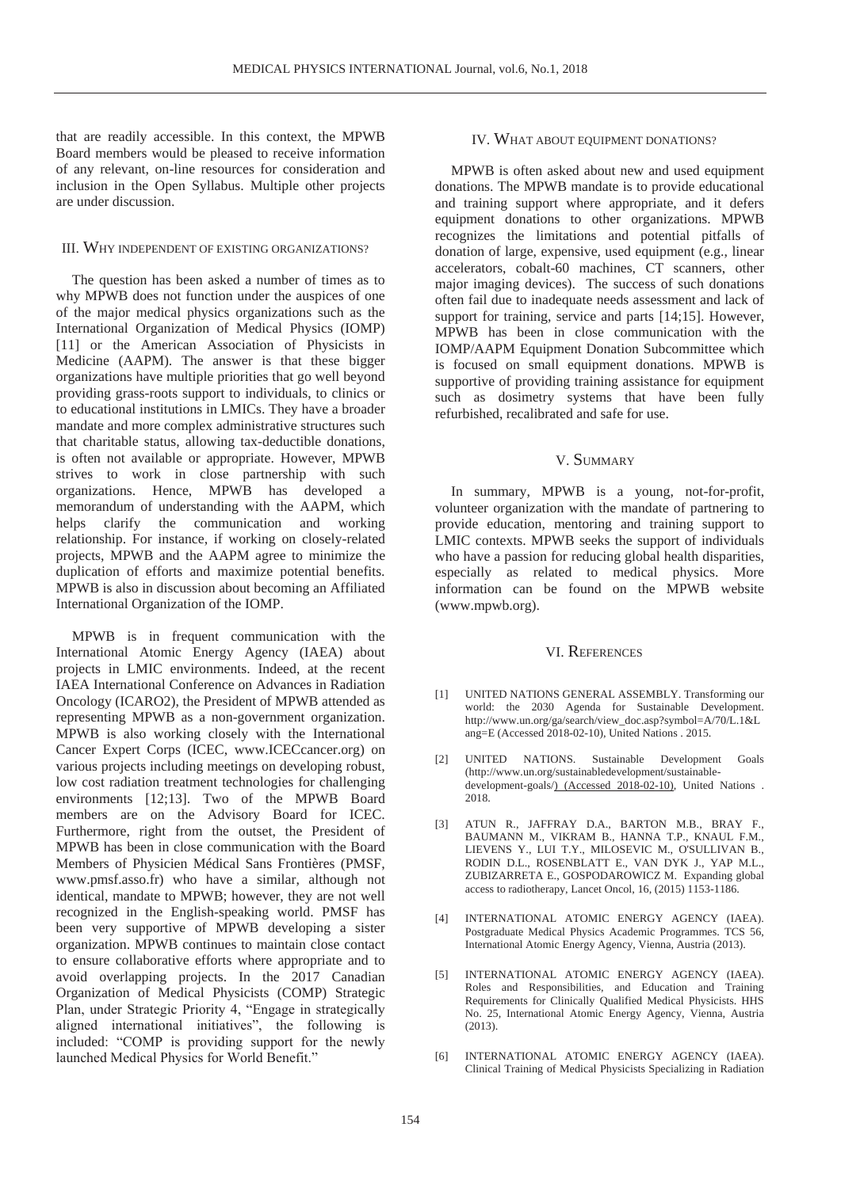that are readily accessible. In this context, the MPWB Board members would be pleased to receive information of any relevant, on-line resources for consideration and inclusion in the Open Syllabus. Multiple other projects are under discussion.

#### III. WHY INDEPENDENT OF EXISTING ORGANIZATIONS?

The question has been asked a number of times as to why MPWB does not function under the auspices of one of the major medical physics organizations such as the International Organization of Medical Physics (IOMP) [11] or the American Association of Physicists in Medicine (AAPM). The answer is that these bigger organizations have multiple priorities that go well beyond providing grass-roots support to individuals, to clinics or to educational institutions in LMICs. They have a broader mandate and more complex administrative structures such that charitable status, allowing tax-deductible donations, is often not available or appropriate. However, MPWB strives to work in close partnership with such organizations. Hence, MPWB has developed a memorandum of understanding with the AAPM, which helps clarify the communication and working relationship. For instance, if working on closely-related projects, MPWB and the AAPM agree to minimize the duplication of efforts and maximize potential benefits. MPWB is also in discussion about becoming an Affiliated International Organization of the IOMP.

MPWB is in frequent communication with the International Atomic Energy Agency (IAEA) about projects in LMIC environments. Indeed, at the recent IAEA International Conference on Advances in Radiation Oncology (ICARO2), the President of MPWB attended as representing MPWB as a non-government organization. MPWB is also working closely with the International Cancer Expert Corps (ICEC, www.ICECcancer.org) on various projects including meetings on developing robust, low cost radiation treatment technologies for challenging environments [12:13]. Two of the MPWB Board members are on the Advisory Board for ICEC. Furthermore, right from the outset, the President of MPWB has been in close communication with the Board Members of Physicien Médical Sans Frontières (PMSF, www.pmsf.asso.fr) who have a similar, although not identical, mandate to MPWB; however, they are not well recognized in the English-speaking world. PMSF has been very supportive of MPWB developing a sister organization. MPWB continues to maintain close contact to ensure collaborative efforts where appropriate and to avoid overlapping projects. In the 2017 Canadian Organization of Medical Physicists (COMP) Strategic Plan, under Strategic Priority 4, "Engage in strategically aligned international initiatives", the following is included: "COMP is providing support for the newly launched Medical Physics for World Benefit."

#### IV. WHAT ABOUT EQUIPMENT DONATIONS?

MPWB is often asked about new and used equipment donations. The MPWB mandate is to provide educational and training support where appropriate, and it defers equipment donations to other organizations. MPWB recognizes the limitations and potential pitfalls of donation of large, expensive, used equipment (e.g., linear accelerators, cobalt-60 machines, CT scanners, other major imaging devices). The success of such donations often fail due to inadequate needs assessment and lack of support for training, service and parts [14;15]. However, MPWB has been in close communication with the IOMP/AAPM Equipment Donation Subcommittee which is focused on small equipment donations. MPWB is supportive of providing training assistance for equipment such as dosimetry systems that have been fully refurbished, recalibrated and safe for use.

### V. SUMMARY

In summary, MPWB is a young, not-for-profit, volunteer organization with the mandate of partnering to provide education, mentoring and training support to LMIC contexts. MPWB seeks the support of individuals who have a passion for reducing global health disparities, especially as related to medical physics. More information can be found on the MPWB website (www.mpwb.org).

#### VI. REFERENCES

- [1] UNITED NATIONS GENERAL ASSEMBLY. Transforming our world: the 2030 Agenda for Sustainable Development. http://www.un.org/ga/search/view\_doc.asp?symbol=A/70/L.1&L ang=E (Accessed 2018-02-10), United Nations . 2015.
- [2] UNITED NATIONS. Sustainable Development Goals (http://www.un.org/sustainabledevelopment/sustainabledevelopment-goals/) (Accessed 2018-02-10), United Nations . 2018.
- [3] ATUN R., JAFFRAY D.A., BARTON M.B., BRAY F., BAUMANN M., VIKRAM B., HANNA T.P., KNAUL F.M., LIEVENS Y., LUI T.Y., MILOSEVIC M., O'SULLIVAN B., RODIN D.L., ROSENBLATT E., VAN DYK J., YAP M.L., ZUBIZARRETA E., GOSPODAROWICZ M. Expanding global access to radiotherapy, Lancet Oncol, 16, (2015) 1153-1186.
- [4] INTERNATIONAL ATOMIC ENERGY AGENCY (IAEA). Postgraduate Medical Physics Academic Programmes. TCS 56, International Atomic Energy Agency, Vienna, Austria (2013).
- [5] INTERNATIONAL ATOMIC ENERGY AGENCY (IAEA). Roles and Responsibilities, and Education and Training Requirements for Clinically Qualified Medical Physicists. HHS No. 25, International Atomic Energy Agency, Vienna, Austria (2013).
- [6] INTERNATIONAL ATOMIC ENERGY AGENCY (IAEA). Clinical Training of Medical Physicists Specializing in Radiation